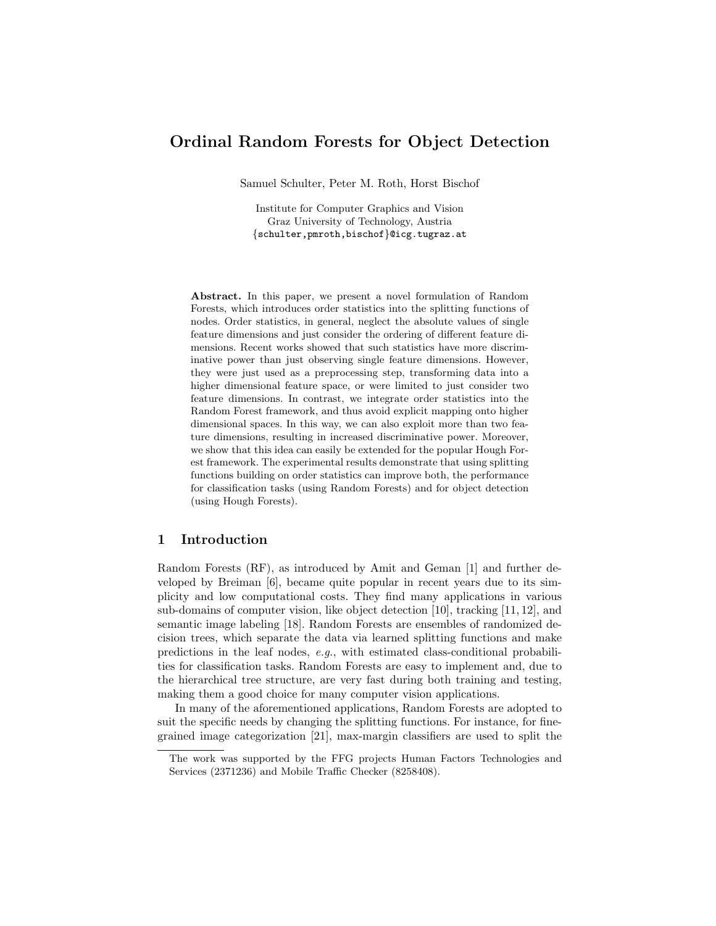# Ordinal Random Forests for Object Detection

Samuel Schulter, Peter M. Roth, Horst Bischof

Institute for Computer Graphics and Vision Graz University of Technology, Austria {schulter,pmroth,bischof}@icg.tugraz.at

Abstract. In this paper, we present a novel formulation of Random Forests, which introduces order statistics into the splitting functions of nodes. Order statistics, in general, neglect the absolute values of single feature dimensions and just consider the ordering of different feature dimensions. Recent works showed that such statistics have more discriminative power than just observing single feature dimensions. However, they were just used as a preprocessing step, transforming data into a higher dimensional feature space, or were limited to just consider two feature dimensions. In contrast, we integrate order statistics into the Random Forest framework, and thus avoid explicit mapping onto higher dimensional spaces. In this way, we can also exploit more than two feature dimensions, resulting in increased discriminative power. Moreover, we show that this idea can easily be extended for the popular Hough Forest framework. The experimental results demonstrate that using splitting functions building on order statistics can improve both, the performance for classification tasks (using Random Forests) and for object detection (using Hough Forests).

# 1 Introduction

Random Forests (RF), as introduced by Amit and Geman [1] and further developed by Breiman [6], became quite popular in recent years due to its simplicity and low computational costs. They find many applications in various sub-domains of computer vision, like object detection [10], tracking [11, 12], and semantic image labeling [18]. Random Forests are ensembles of randomized decision trees, which separate the data via learned splitting functions and make predictions in the leaf nodes, e.g., with estimated class-conditional probabilities for classification tasks. Random Forests are easy to implement and, due to the hierarchical tree structure, are very fast during both training and testing, making them a good choice for many computer vision applications.

In many of the aforementioned applications, Random Forests are adopted to suit the specific needs by changing the splitting functions. For instance, for finegrained image categorization [21], max-margin classifiers are used to split the

The work was supported by the FFG projects Human Factors Technologies and Services (2371236) and Mobile Traffic Checker (8258408).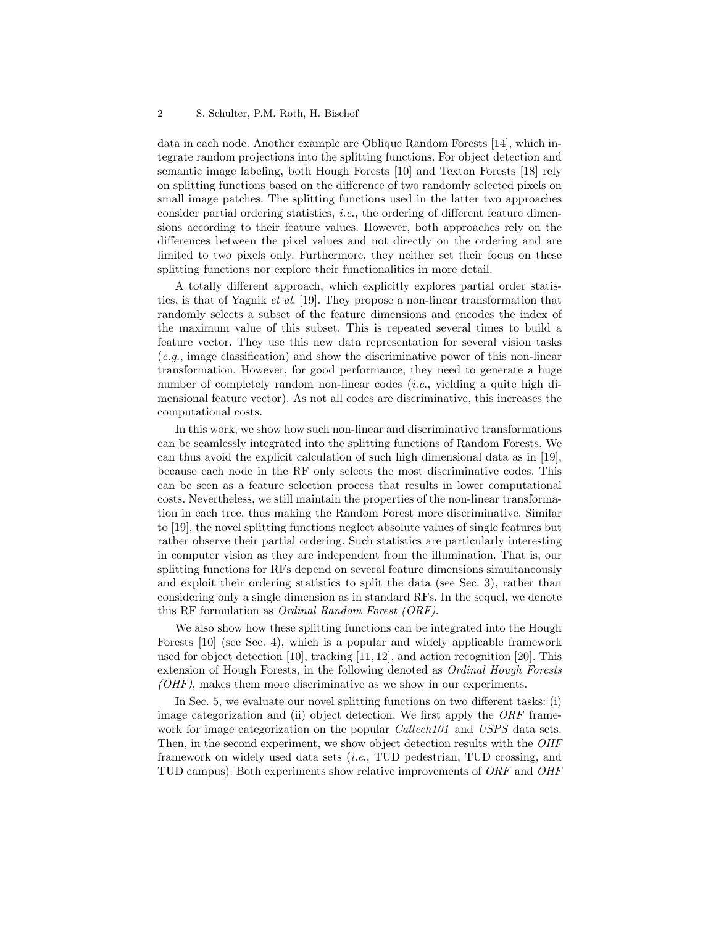data in each node. Another example are Oblique Random Forests [14], which integrate random projections into the splitting functions. For object detection and semantic image labeling, both Hough Forests [10] and Texton Forests [18] rely on splitting functions based on the difference of two randomly selected pixels on small image patches. The splitting functions used in the latter two approaches consider partial ordering statistics, i.e., the ordering of different feature dimensions according to their feature values. However, both approaches rely on the differences between the pixel values and not directly on the ordering and are limited to two pixels only. Furthermore, they neither set their focus on these splitting functions nor explore their functionalities in more detail.

A totally different approach, which explicitly explores partial order statistics, is that of Yagnik et al. [19]. They propose a non-linear transformation that randomly selects a subset of the feature dimensions and encodes the index of the maximum value of this subset. This is repeated several times to build a feature vector. They use this new data representation for several vision tasks (e.g., image classification) and show the discriminative power of this non-linear transformation. However, for good performance, they need to generate a huge number of completely random non-linear codes *(i.e., yielding a quite high di*mensional feature vector). As not all codes are discriminative, this increases the computational costs.

In this work, we show how such non-linear and discriminative transformations can be seamlessly integrated into the splitting functions of Random Forests. We can thus avoid the explicit calculation of such high dimensional data as in [19], because each node in the RF only selects the most discriminative codes. This can be seen as a feature selection process that results in lower computational costs. Nevertheless, we still maintain the properties of the non-linear transformation in each tree, thus making the Random Forest more discriminative. Similar to [19], the novel splitting functions neglect absolute values of single features but rather observe their partial ordering. Such statistics are particularly interesting in computer vision as they are independent from the illumination. That is, our splitting functions for RFs depend on several feature dimensions simultaneously and exploit their ordering statistics to split the data (see Sec. 3), rather than considering only a single dimension as in standard RFs. In the sequel, we denote this RF formulation as Ordinal Random Forest (ORF).

We also show how these splitting functions can be integrated into the Hough Forests [10] (see Sec. 4), which is a popular and widely applicable framework used for object detection  $[10]$ , tracking  $[11, 12]$ , and action recognition  $[20]$ . This extension of Hough Forests, in the following denoted as Ordinal Hough Forests (OHF), makes them more discriminative as we show in our experiments.

In Sec. 5, we evaluate our novel splitting functions on two different tasks: (i) image categorization and (ii) object detection. We first apply the  $ORF$  framework for image categorization on the popular *Caltech101* and *USPS* data sets. Then, in the second experiment, we show object detection results with the OHF framework on widely used data sets (i.e., TUD pedestrian, TUD crossing, and TUD campus). Both experiments show relative improvements of ORF and OHF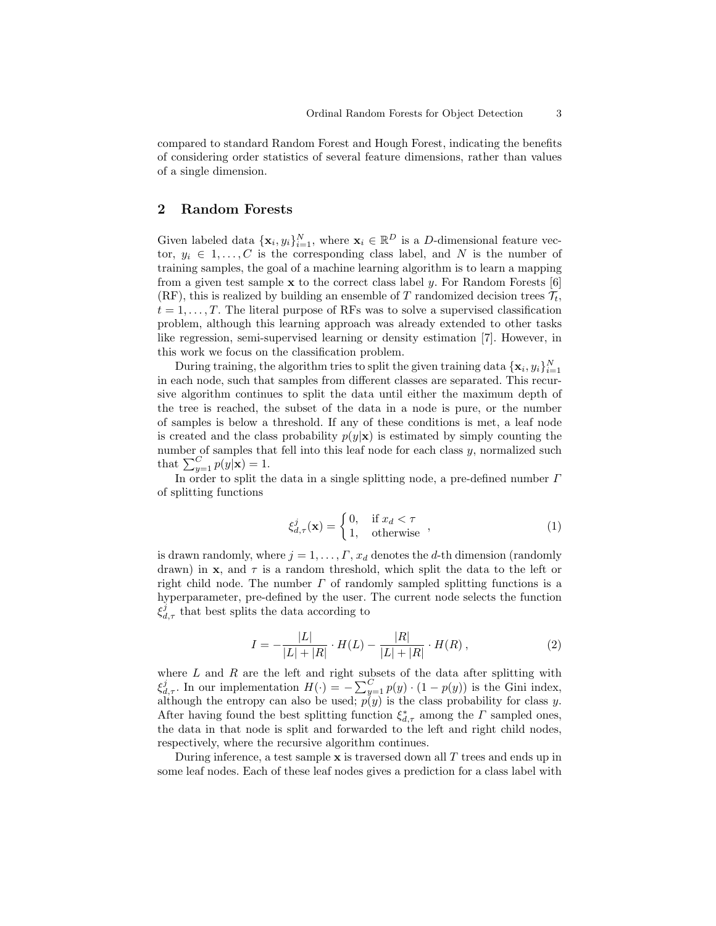compared to standard Random Forest and Hough Forest, indicating the benefits of considering order statistics of several feature dimensions, rather than values of a single dimension.

# 2 Random Forests

Given labeled data  $\{\mathbf x_i, y_i\}_{i=1}^N$ , where  $\mathbf x_i \in \mathbb{R}^D$  is a D-dimensional feature vector,  $y_i \in 1, \ldots, C$  is the corresponding class label, and N is the number of training samples, the goal of a machine learning algorithm is to learn a mapping from a given test sample  $x$  to the correct class label  $y$ . For Random Forests [6] (RF), this is realized by building an ensemble of T randomized decision trees  $\mathcal{T}_t$ ,  $t = 1, \ldots, T$ . The literal purpose of RFs was to solve a supervised classification problem, although this learning approach was already extended to other tasks like regression, semi-supervised learning or density estimation [7]. However, in this work we focus on the classification problem.

During training, the algorithm tries to split the given training data  $\{x_i, y_i\}_{i=1}^N$ in each node, such that samples from different classes are separated. This recursive algorithm continues to split the data until either the maximum depth of the tree is reached, the subset of the data in a node is pure, or the number of samples is below a threshold. If any of these conditions is met, a leaf node is created and the class probability  $p(y|\mathbf{x})$  is estimated by simply counting the number of samples that fell into this leaf node for each class y, normalized such that  $\sum_{y=1}^{C} p(y|\mathbf{x}) = 1$ .

In order to split the data in a single splitting node, a pre-defined number Γ of splitting functions

$$
\xi_{d,\tau}^{j}(\mathbf{x}) = \begin{cases} 0, & \text{if } x_d < \tau \\ 1, & \text{otherwise} \end{cases} \tag{1}
$$

is drawn randomly, where  $j = 1, \ldots, \Gamma, x_d$  denotes the d-th dimension (randomly drawn) in  $x$ , and  $\tau$  is a random threshold, which split the data to the left or right child node. The number  $\Gamma$  of randomly sampled splitting functions is a hyperparameter, pre-defined by the user. The current node selects the function  $\xi_{d,\tau}^{j}$  that best splits the data according to

$$
I = -\frac{|L|}{|L| + |R|} \cdot H(L) - \frac{|R|}{|L| + |R|} \cdot H(R) , \qquad (2)
$$

where  $L$  and  $R$  are the left and right subsets of the data after splitting with  $\xi_{d,\tau}^{j}$ . In our implementation  $H(\cdot) = -\sum_{y=1}^{C} p(y) \cdot (1 - p(y))$  is the Gini index, although the entropy can also be used;  $p(y)$  is the class probability for class y. After having found the best splitting function  $\xi_{d,\tau}^*$  among the  $\Gamma$  sampled ones, the data in that node is split and forwarded to the left and right child nodes, respectively, where the recursive algorithm continues.

During inference, a test sample  $x$  is traversed down all  $T$  trees and ends up in some leaf nodes. Each of these leaf nodes gives a prediction for a class label with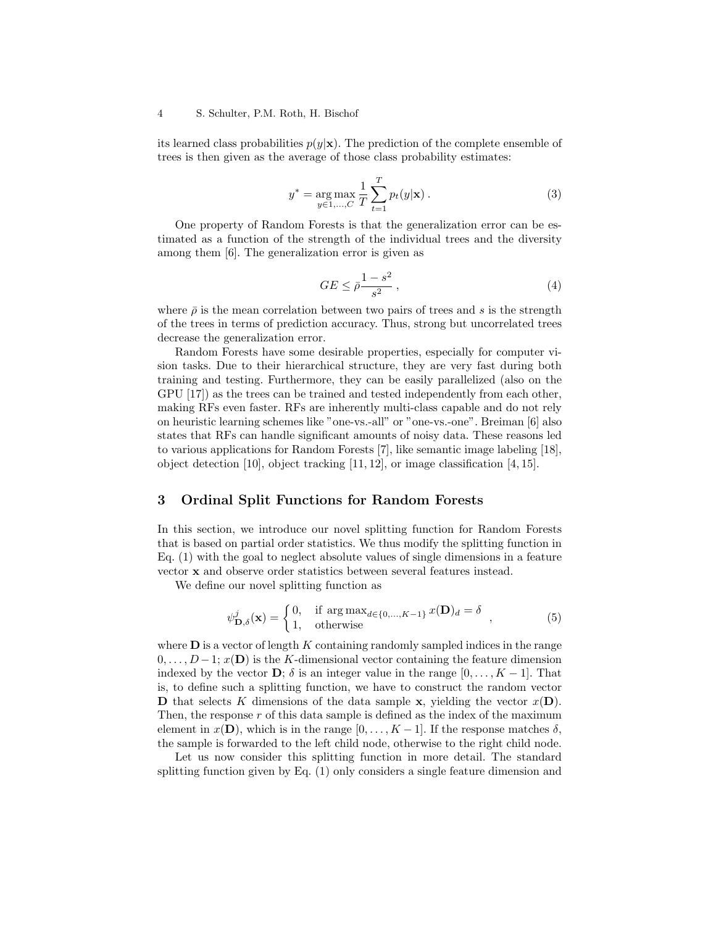#### 4 S. Schulter, P.M. Roth, H. Bischof

its learned class probabilities  $p(y|\mathbf{x})$ . The prediction of the complete ensemble of trees is then given as the average of those class probability estimates:

$$
y^* = \underset{y \in 1, ..., C}{\arg \max} \frac{1}{T} \sum_{t=1}^T p_t(y|\mathbf{x}). \tag{3}
$$

One property of Random Forests is that the generalization error can be estimated as a function of the strength of the individual trees and the diversity among them [6]. The generalization error is given as

$$
GE \le \bar{\rho} \frac{1 - s^2}{s^2},\tag{4}
$$

where  $\bar{\rho}$  is the mean correlation between two pairs of trees and s is the strength of the trees in terms of prediction accuracy. Thus, strong but uncorrelated trees decrease the generalization error.

Random Forests have some desirable properties, especially for computer vision tasks. Due to their hierarchical structure, they are very fast during both training and testing. Furthermore, they can be easily parallelized (also on the GPU [17]) as the trees can be trained and tested independently from each other, making RFs even faster. RFs are inherently multi-class capable and do not rely on heuristic learning schemes like "one-vs.-all" or "one-vs.-one". Breiman [6] also states that RFs can handle significant amounts of noisy data. These reasons led to various applications for Random Forests [7], like semantic image labeling [18], object detection [10], object tracking [11, 12], or image classification [4, 15].

# 3 Ordinal Split Functions for Random Forests

In this section, we introduce our novel splitting function for Random Forests that is based on partial order statistics. We thus modify the splitting function in Eq. (1) with the goal to neglect absolute values of single dimensions in a feature vector x and observe order statistics between several features instead.

We define our novel splitting function as

$$
\psi_{\mathbf{D},\delta}^{j}(\mathbf{x}) = \begin{cases} 0, & \text{if } \arg \max_{d \in \{0,\dots,K-1\}} x(\mathbf{D})_d = \delta \\ 1, & \text{otherwise} \end{cases}, \tag{5}
$$

where  **is a vector of length K containing randomly sampled indices in the range**  $0, \ldots, D-1$ ;  $x(D)$  is the K-dimensional vector containing the feature dimension indexed by the vector  $\mathbf{D}$ ;  $\delta$  is an integer value in the range  $[0, \ldots, K-1]$ . That is, to define such a splitting function, we have to construct the random vector **D** that selects K dimensions of the data sample **x**, yielding the vector  $x(\mathbf{D})$ . Then, the response r of this data sample is defined as the index of the maximum element in  $x(\mathbf{D})$ , which is in the range  $[0, \ldots, K-1]$ . If the response matches  $\delta$ , the sample is forwarded to the left child node, otherwise to the right child node.

Let us now consider this splitting function in more detail. The standard splitting function given by Eq. (1) only considers a single feature dimension and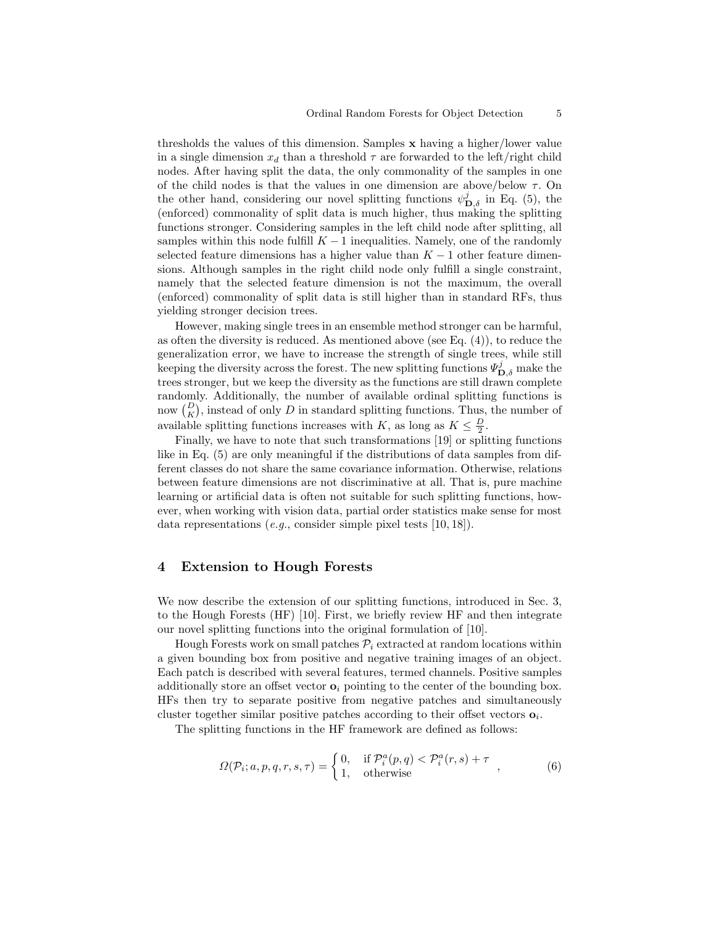thresholds the values of this dimension. Samples x having a higher/lower value in a single dimension  $x_d$  than a threshold  $\tau$  are forwarded to the left/right child nodes. After having split the data, the only commonality of the samples in one of the child nodes is that the values in one dimension are above/below  $\tau$ . On the other hand, considering our novel splitting functions  $\psi_{\mathbf{D},\delta}^{j}$  in Eq. (5), the (enforced) commonality of split data is much higher, thus making the splitting functions stronger. Considering samples in the left child node after splitting, all samples within this node fulfill  $K - 1$  inequalities. Namely, one of the randomly selected feature dimensions has a higher value than  $K - 1$  other feature dimensions. Although samples in the right child node only fulfill a single constraint, namely that the selected feature dimension is not the maximum, the overall (enforced) commonality of split data is still higher than in standard RFs, thus yielding stronger decision trees.

However, making single trees in an ensemble method stronger can be harmful, as often the diversity is reduced. As mentioned above (see Eq. (4)), to reduce the generalization error, we have to increase the strength of single trees, while still keeping the diversity across the forest. The new splitting functions  $\varPsi_{\mathbf{D},\delta}^j$  make the trees stronger, but we keep the diversity as the functions are still drawn complete randomly. Additionally, the number of available ordinal splitting functions is now  $\binom{D}{K}$ , instead of only D in standard splitting functions. Thus, the number of available splitting functions increases with K, as long as  $K \leq \frac{D}{2}$ .

Finally, we have to note that such transformations [19] or splitting functions like in Eq. (5) are only meaningful if the distributions of data samples from different classes do not share the same covariance information. Otherwise, relations between feature dimensions are not discriminative at all. That is, pure machine learning or artificial data is often not suitable for such splitting functions, however, when working with vision data, partial order statistics make sense for most data representations (e.g., consider simple pixel tests [10, 18]).

### 4 Extension to Hough Forests

We now describe the extension of our splitting functions, introduced in Sec. 3, to the Hough Forests (HF) [10]. First, we briefly review HF and then integrate our novel splitting functions into the original formulation of [10].

Hough Forests work on small patches  $\mathcal{P}_i$  extracted at random locations within a given bounding box from positive and negative training images of an object. Each patch is described with several features, termed channels. Positive samples additionally store an offset vector  $\mathbf{o}_i$  pointing to the center of the bounding box. HFs then try to separate positive from negative patches and simultaneously cluster together similar positive patches according to their offset vectors  $o_i$ .

The splitting functions in the HF framework are defined as follows:

$$
\Omega(\mathcal{P}_i; a, p, q, r, s, \tau) = \begin{cases} 0, & \text{if } \mathcal{P}_i^a(p, q) < \mathcal{P}_i^a(r, s) + \tau \\ 1, & \text{otherwise} \end{cases}, \tag{6}
$$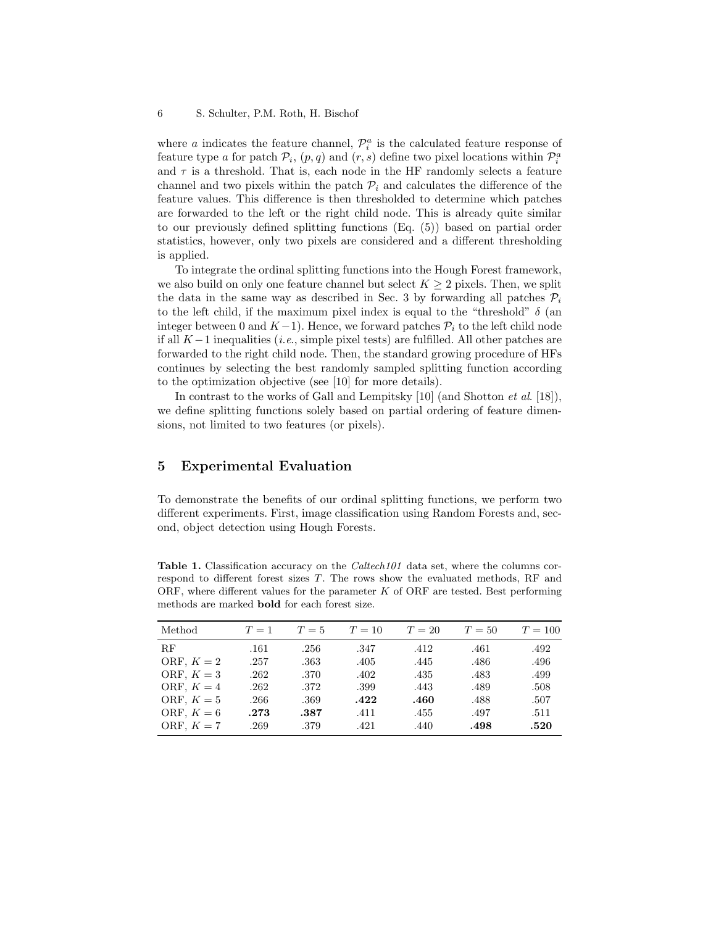where *a* indicates the feature channel,  $\mathcal{P}_i^a$  is the calculated feature response of feature type a for patch  $\mathcal{P}_i$ ,  $(p, q)$  and  $(r, s)$  define two pixel locations within  $\mathcal{P}_i^a$ and  $\tau$  is a threshold. That is, each node in the HF randomly selects a feature channel and two pixels within the patch  $\mathcal{P}_i$  and calculates the difference of the feature values. This difference is then thresholded to determine which patches are forwarded to the left or the right child node. This is already quite similar to our previously defined splitting functions (Eq. (5)) based on partial order statistics, however, only two pixels are considered and a different thresholding is applied.

To integrate the ordinal splitting functions into the Hough Forest framework, we also build on only one feature channel but select  $K \geq 2$  pixels. Then, we split the data in the same way as described in Sec. 3 by forwarding all patches  $\mathcal{P}_i$ to the left child, if the maximum pixel index is equal to the "threshold"  $\delta$  (an integer between 0 and  $K-1$ ). Hence, we forward patches  $\mathcal{P}_i$  to the left child node if all  $K-1$  inequalities (*i.e.*, simple pixel tests) are fulfilled. All other patches are forwarded to the right child node. Then, the standard growing procedure of HFs continues by selecting the best randomly sampled splitting function according to the optimization objective (see [10] for more details).

In contrast to the works of Gall and Lempitsky [10] (and Shotton et al. [18]), we define splitting functions solely based on partial ordering of feature dimensions, not limited to two features (or pixels).

# 5 Experimental Evaluation

To demonstrate the benefits of our ordinal splitting functions, we perform two different experiments. First, image classification using Random Forests and, second, object detection using Hough Forests.

Table 1. Classification accuracy on the *Caltech101* data set, where the columns correspond to different forest sizes T. The rows show the evaluated methods, RF and ORF, where different values for the parameter  $K$  of ORF are tested. Best performing methods are marked bold for each forest size.

| Method       | $T=1$ | $T=5$ | $T=10$ | $T=20$ | $T=50$ | $T=100$ |
|--------------|-------|-------|--------|--------|--------|---------|
| RF           | .161  | .256  | .347   | .412   | .461   | .492    |
| ORF, $K=2$   | .257  | .363  | .405   | .445   | .486   | .496    |
| ORF, $K=3$   | .262  | .370  | .402   | .435   | .483   | .499    |
| ORF, $K = 4$ | .262  | .372  | .399   | .443   | .489   | .508    |
| ORF, $K=5$   | .266  | .369  | .422   | .460   | .488   | .507    |
| ORF, $K=6$   | .273  | .387  | .411   | .455   | .497   | .511    |
| ORF, $K=7$   | .269  | .379  | .421   | .440   | .498   | .520    |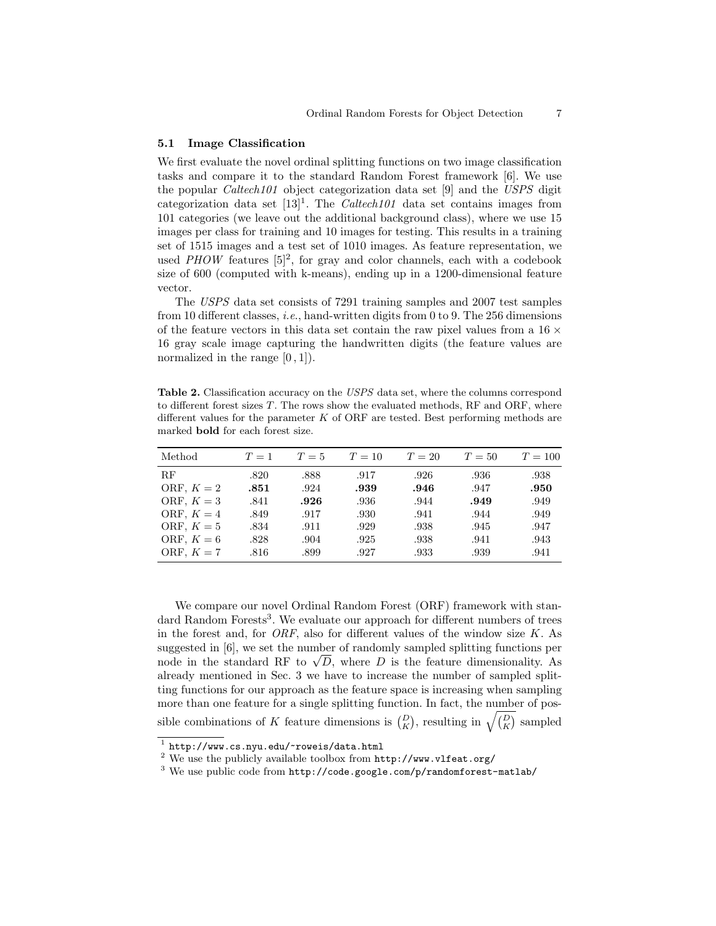### 5.1 Image Classification

We first evaluate the novel ordinal splitting functions on two image classification tasks and compare it to the standard Random Forest framework [6]. We use the popular *Caltech101* object categorization data set [9] and the USPS digit categorization data set  $[13]$ <sup>1</sup>. The *Caltech101* data set contains images from 101 categories (we leave out the additional background class), where we use 15 images per class for training and 10 images for testing. This results in a training set of 1515 images and a test set of 1010 images. As feature representation, we used  $PHOW$  features  $[5]^2$ , for gray and color channels, each with a codebook size of 600 (computed with k-means), ending up in a 1200-dimensional feature vector.

The USPS data set consists of 7291 training samples and 2007 test samples from 10 different classes, i.e., hand-written digits from 0 to 9. The 256 dimensions of the feature vectors in this data set contain the raw pixel values from a  $16 \times$ 16 gray scale image capturing the handwritten digits (the feature values are normalized in the range  $[0, 1]$ .

Table 2. Classification accuracy on the USPS data set, where the columns correspond to different forest sizes  $T$ . The rows show the evaluated methods, RF and ORF, where different values for the parameter  $K$  of ORF are tested. Best performing methods are marked bold for each forest size.

| Method     | $T=1$ | $T=5$ | $T=10$ | $T=20$ | $T=50$ | $T = 100$ |
|------------|-------|-------|--------|--------|--------|-----------|
| RF         | .820  | .888  | .917   | .926   | .936   | .938      |
| ORF, $K=2$ | .851  | .924  | .939   | .946   | .947   | .950      |
| ORF, $K=3$ | .841  | .926  | .936   | .944   | .949   | .949      |
| ORF, $K=4$ | .849  | .917  | .930   | .941   | .944   | .949      |
| ORF, $K=5$ | .834  | .911  | .929   | .938   | .945   | .947      |
| ORF, $K=6$ | .828  | .904  | .925   | .938   | .941   | .943      |
| ORF, $K=7$ | .816  | .899  | .927   | .933   | .939   | .941      |

We compare our novel Ordinal Random Forest (ORF) framework with standard Random Forests<sup>3</sup>. We evaluate our approach for different numbers of trees in the forest and, for  $ORF$ , also for different values of the window size  $K$ . As suggested in [6], we set the number of randomly sampled splitting functions per suggested in [0], we set the number of randomly sampled splitting functions per node in the standard RF to  $\sqrt{D}$ , where D is the feature dimensionality. As already mentioned in Sec. 3 we have to increase the number of sampled splitting functions for our approach as the feature space is increasing when sampling more than one feature for a single splitting function. In fact, the number of possible combinations of K feature dimensions is  $\binom{D}{K}$ , resulting in  $\sqrt{\binom{D}{K}}$  sampled

 $\frac{1}{\alpha}$  http://www.cs.nyu.edu/~roweis/data.html

<sup>2</sup> We use the publicly available toolbox from http://www.vlfeat.org/

<sup>3</sup> We use public code from http://code.google.com/p/randomforest-matlab/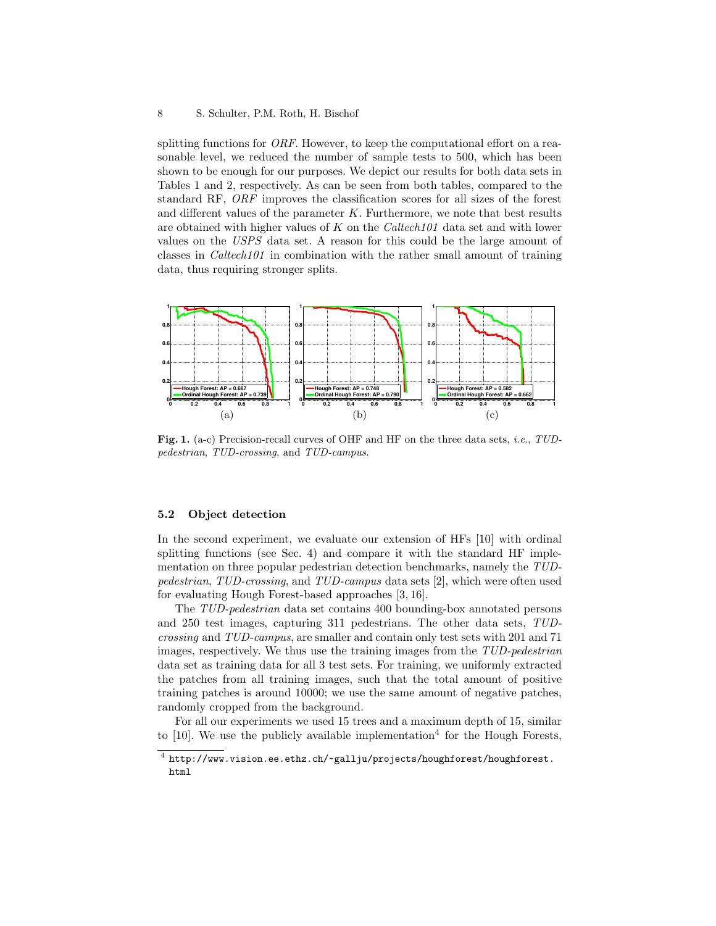splitting functions for *ORF*. However, to keep the computational effort on a reasonable level, we reduced the number of sample tests to 500, which has been shown to be enough for our purposes. We depict our results for both data sets in Tables 1 and 2, respectively. As can be seen from both tables, compared to the standard RF, ORF improves the classification scores for all sizes of the forest and different values of the parameter  $K$ . Furthermore, we note that best results are obtained with higher values of K on the Caltech101 data set and with lower values on the USPS data set. A reason for this could be the large amount of classes in Caltech101 in combination with the rather small amount of training data, thus requiring stronger splits.



Fig. 1. (a-c) Precision-recall curves of OHF and HF on the three data sets, *i.e.*, TUDpedestrian, TUD-crossing, and TUD-campus.

### 5.2 Object detection

In the second experiment, we evaluate our extension of HFs [10] with ordinal splitting functions (see Sec. 4) and compare it with the standard HF implementation on three popular pedestrian detection benchmarks, namely the TUDpedestrian, TUD-crossing, and TUD-campus data sets [2], which were often used for evaluating Hough Forest-based approaches [3, 16].

The TUD-pedestrian data set contains 400 bounding-box annotated persons and 250 test images, capturing 311 pedestrians. The other data sets, TUDcrossing and TUD-campus, are smaller and contain only test sets with 201 and 71 images, respectively. We thus use the training images from the TUD-pedestrian data set as training data for all 3 test sets. For training, we uniformly extracted the patches from all training images, such that the total amount of positive training patches is around 10000; we use the same amount of negative patches, randomly cropped from the background.

For all our experiments we used 15 trees and a maximum depth of 15, similar to [10]. We use the publicly available implementation<sup>4</sup> for the Hough Forests,

 $^4$  http://www.vision.ee.ethz.ch/~gallju/projects/houghforest/houghforest. html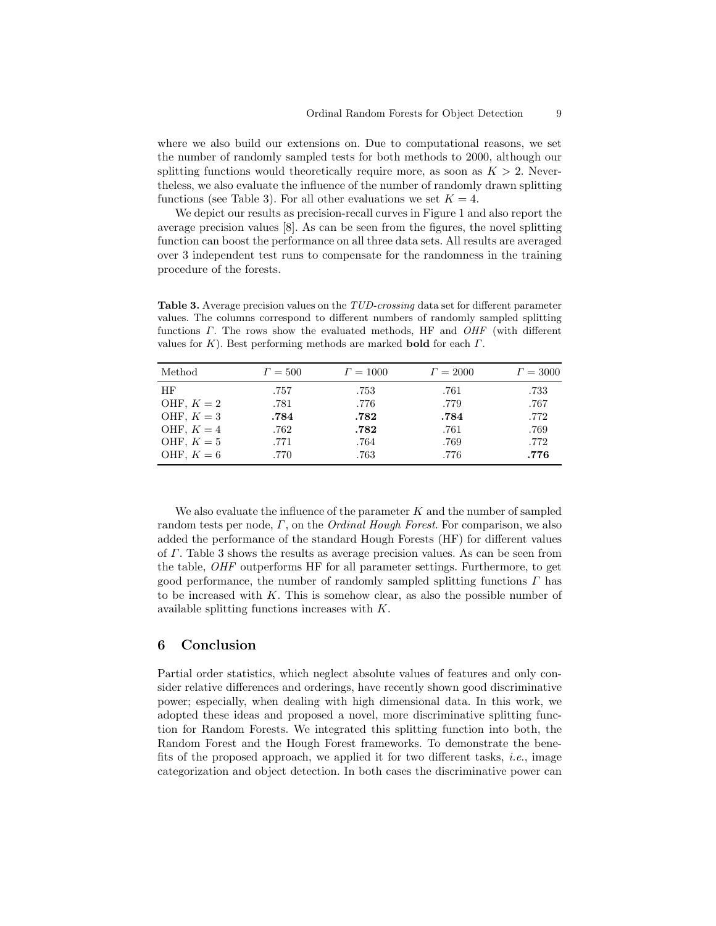where we also build our extensions on. Due to computational reasons, we set the number of randomly sampled tests for both methods to 2000, although our splitting functions would theoretically require more, as soon as  $K > 2$ . Nevertheless, we also evaluate the influence of the number of randomly drawn splitting functions (see Table 3). For all other evaluations we set  $K = 4$ .

We depict our results as precision-recall curves in Figure 1 and also report the average precision values [8]. As can be seen from the figures, the novel splitting function can boost the performance on all three data sets. All results are averaged over 3 independent test runs to compensate for the randomness in the training procedure of the forests.

Table 3. Average precision values on the *TUD-crossing* data set for different parameter values. The columns correspond to different numbers of randomly sampled splitting functions  $\Gamma$ . The rows show the evaluated methods, HF and *OHF* (with different values for  $K$ ). Best performing methods are marked **bold** for each  $\Gamma$ .

| Method       | $\Gamma = 500$ | $\Gamma = 1000$ | $\Gamma = 2000$ | $\Gamma = 3000$ |
|--------------|----------------|-----------------|-----------------|-----------------|
| HF           | .757           | .753            | .761            | .733            |
| OHF, $K=2$   | .781           | .776            | .779            | .767            |
| OHF, $K=3$   | .784           | .782            | .784            | .772            |
| OHF, $K = 4$ | .762           | .782            | .761            | .769            |
| OHF, $K=5$   | .771           | .764            | .769            | .772            |
| OHF, $K=6$   | .770           | .763            | .776            | .776            |

We also evaluate the influence of the parameter  $K$  and the number of sampled random tests per node,  $\Gamma$ , on the *Ordinal Hough Forest*. For comparison, we also added the performance of the standard Hough Forests (HF) for different values of Γ. Table 3 shows the results as average precision values. As can be seen from the table, OHF outperforms HF for all parameter settings. Furthermore, to get good performance, the number of randomly sampled splitting functions  $\Gamma$  has to be increased with  $K$ . This is somehow clear, as also the possible number of available splitting functions increases with K.

# 6 Conclusion

Partial order statistics, which neglect absolute values of features and only consider relative differences and orderings, have recently shown good discriminative power; especially, when dealing with high dimensional data. In this work, we adopted these ideas and proposed a novel, more discriminative splitting function for Random Forests. We integrated this splitting function into both, the Random Forest and the Hough Forest frameworks. To demonstrate the benefits of the proposed approach, we applied it for two different tasks, i.e., image categorization and object detection. In both cases the discriminative power can